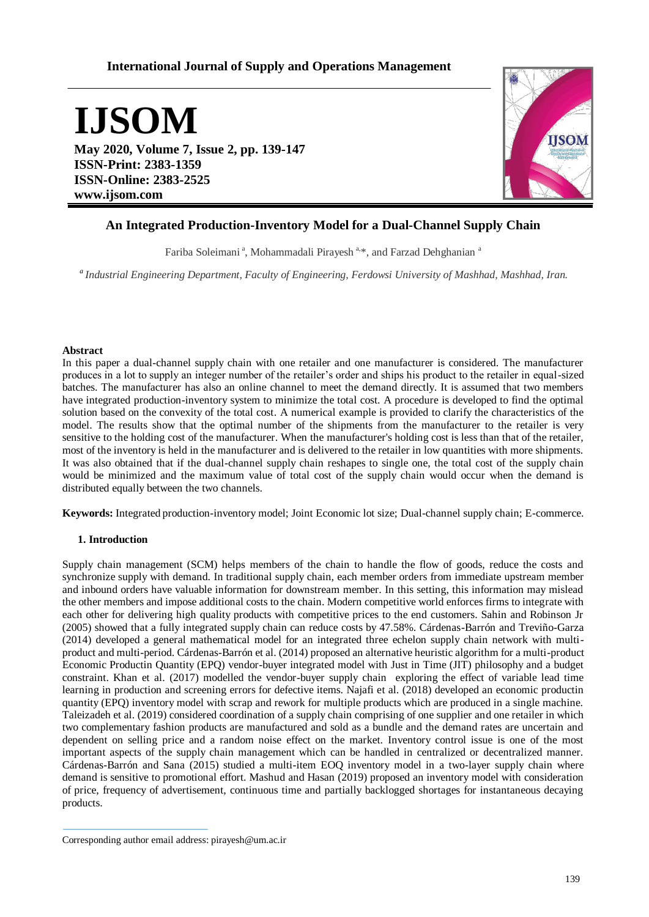# **International Journal of Supply and Operations Management**

**IJSOM**

**May 2020, Volume 7, Issue 2, pp. 139-147 ISSN-Print: 2383-1359 ISSN-Online: 2383-2525 www.ijsom.com**



## **An Integrated Production-Inventory Model for a Dual-Channel Supply Chain**

Fariba Soleimani<sup>a</sup>, Mohammadali Pirayesh<sup>a,\*</sup>, and Farzad Dehghanian<sup>a</sup>

*<sup>a</sup>Industrial Engineering Department, Faculty of Engineering, Ferdowsi University of Mashhad, Mashhad, Iran.*

## **Abstract**

In this paper a dual-channel supply chain with one retailer and one manufacturer is considered. The manufacturer produces in a lot to supply an integer number of the retailer's order and ships his product to the retailer in equal-sized batches. The manufacturer has also an online channel to meet the demand directly. It is assumed that two members have integrated production-inventory system to minimize the total cost. A procedure is developed to find the optimal solution based on the convexity of the total cost. A numerical example is provided to clarify the characteristics of the model. The results show that the optimal number of the shipments from the manufacturer to the retailer is very sensitive to the holding cost of the manufacturer. When the manufacturer's holding cost is less than that of the retailer, most of the inventory is held in the manufacturer and is delivered to the retailer in low quantities with more shipments. It was also obtained that if the dual-channel supply chain reshapes to single one, the total cost of the supply chain would be minimized and the maximum value of total cost of the supply chain would occur when the demand is distributed equally between the two channels.

**Keywords:** Integrated production-inventory model; Joint Economic lot size; Dual-channel supply chain; E-commerce.

## **1. Introduction**

Supply chain management (SCM) helps members of the chain to handle the flow of goods, reduce the costs and synchronize supply with demand. In traditional supply chain, each member orders from immediate upstream member and inbound orders have valuable information for downstream member. In this setting, this information may mislead the other members and impose additional costs to the chain. Modern competitive world enforces firms to integrate with each other for delivering high quality products with competitive prices to the end customers. Sahin and Robinson Jr (2005) showed that a fully integrated supply chain can reduce costs by 47.58%. Cárdenas-Barrón and Treviño-Garza (2014) developed a general mathematical model for an integrated three echelon supply chain network with multiproduct and multi-period. Cárdenas-Barrón et al. (2014) proposed an alternative heuristic algorithm for a multi-product Economic Productin Quantity (EPQ) vendor-buyer integrated model with Just in Time (JIT) philosophy and a budget constraint. Khan et al. (2017) modelled the vendor-buyer supply chain exploring the effect of variable lead time learning in production and screening errors for defective items. Najafi et al. (2018) developed an economic productin quantity (EPQ) inventory model with scrap and rework for multiple products which are produced in a single machine. Taleizadeh et al. (2019) considered coordination of a supply chain comprising of one supplier and one retailer in which two complementary fashion products are manufactured and sold as a bundle and the demand rates are uncertain and dependent on selling price and a random noise effect on the market. Inventory control issue is one of the most important aspects of the supply chain management which can be handled in centralized or decentralized manner. Cárdenas-Barrón and Sana (2015) studied a multi-item EOQ inventory model in a two-layer supply chain where demand is sensitive to promotional effort. Mashud and Hasan (2019) proposed an inventory model with consideration of price, frequency of advertisement, continuous time and partially backlogged shortages for instantaneous decaying products.

Corresponding author email address: pirayesh@um.ac.ir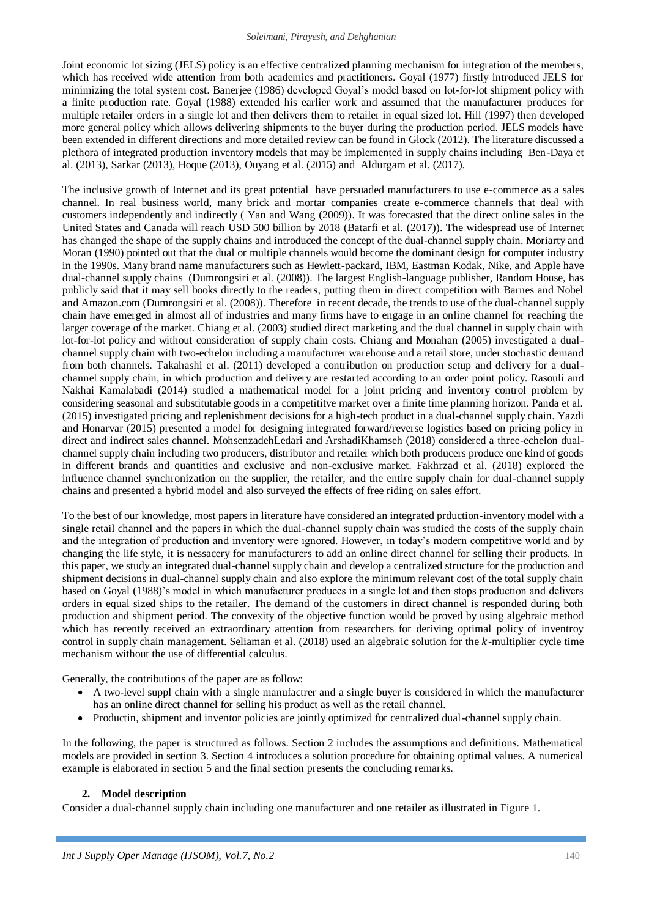Joint economic lot sizing (JELS) policy is an effective centralized planning mechanism for integration of the members, which has received wide attention from both academics and practitioners. Goyal (1977) firstly introduced JELS for minimizing the total system cost. Banerjee (1986) developed Goyal's model based on lot-for-lot shipment policy with a finite production rate. Goyal (1988) extended his earlier work and assumed that the manufacturer produces for multiple retailer orders in a single lot and then delivers them to retailer in equal sized lot. Hill (1997) then developed more general policy which allows delivering shipments to the buyer during the production period. JELS models have been extended in different directions and more detailed review can be found in Glock (2012). The literature discussed a plethora of integrated production inventory models that may be implemented in supply chains including Ben-Daya et al. (2013), Sarkar (2013), Hoque (2013), Ouyang et al. (2015) and Aldurgam et al. (2017).

The inclusive growth of Internet and its great potential have persuaded manufacturers to use e-commerce as a sales channel. In real business world, many brick and mortar companies create e-commerce channels that deal with customers independently and indirectly ( Yan and Wang (2009)). It was forecasted that the direct online sales in the United States and Canada will reach USD 500 billion by 2018 (Batarfi et al. (2017)). The widespread use of Internet has changed the shape of the supply chains and introduced the concept of the dual-channel supply chain. Moriarty and Moran (1990) pointed out that the dual or multiple channels would become the dominant design for computer industry in the 1990s. Many brand name manufacturers such as Hewlett-packard, IBM, Eastman Kodak, Nike, and Apple have dual-channel supply chains (Dumrongsiri et al. (2008)). The largest English-language publisher, Random House, has publicly said that it may sell books directly to the readers, putting them in direct competition with Barnes and Nobel and Amazon.com (Dumrongsiri et al. (2008)). Therefore in recent decade, the trends to use of the dual-channel supply chain have emerged in almost all of industries and many firms have to engage in an online channel for reaching the larger coverage of the market. Chiang et al. (2003) studied direct marketing and the dual channel in supply chain with lot-for-lot policy and without consideration of supply chain costs. Chiang and Monahan (2005) investigated a dualchannel supply chain with two-echelon including a manufacturer warehouse and a retail store, under stochastic demand from both channels. Takahashi et al. (2011) developed a contribution on production setup and delivery for a dualchannel supply chain, in which production and delivery are restarted according to an order point policy. Rasouli and Nakhai Kamalabadi (2014) studied a mathematical model for a joint pricing and inventory control problem by considering seasonal and substitutable goods in a competititve market over a finite time planning horizon. Panda et al. (2015) investigated pricing and replenishment decisions for a high-tech product in a dual-channel supply chain. Yazdi and Honarvar (2015) presented a model for designing integrated forward/reverse logistics based on pricing policy in direct and indirect sales channel. MohsenzadehLedari and ArshadiKhamseh (2018) considered a three-echelon dualchannel supply chain including two producers, distributor and retailer which both producers produce one kind of goods in different brands and quantities and exclusive and non-exclusive market. Fakhrzad et al. (2018) explored the influence channel synchronization on the supplier, the retailer, and the entire supply chain for dual-channel supply chains and presented a hybrid model and also surveyed the effects of free riding on sales effort.

To the best of our knowledge, most papers in literature have considered an integrated prduction-inventory model with a single retail channel and the papers in which the dual-channel supply chain was studied the costs of the supply chain and the integration of production and inventory were ignored. However, in today's modern competitive world and by changing the life style, it is nessacery for manufacturers to add an online direct channel for selling their products. In this paper, we study an integrated dual-channel supply chain and develop a centralized structure for the production and shipment decisions in dual-channel supply chain and also explore the minimum relevant cost of the total supply chain based on Goyal (1988)'s model in which manufacturer produces in a single lot and then stops production and delivers orders in equal sized ships to the retailer. The demand of the customers in direct channel is responded during both production and shipment period. The convexity of the objective function would be proved by using algebraic method which has recently received an extraordinary attention from researchers for deriving optimal policy of inventroy control in supply chain management. Seliaman et al.  $(2018)$  used an algebraic solution for the k-multiplier cycle time mechanism without the use of differential calculus.

Generally, the contributions of the paper are as follow:

- A two-level suppl chain with a single manufactrer and a single buyer is considered in which the manufacturer has an online direct channel for selling his product as well as the retail channel.
- Productin, shipment and inventor policies are jointly optimized for centralized dual-channel supply chain.

In the following, the paper is structured as follows. Section 2 includes the assumptions and definitions. Mathematical models are provided in section 3. Section 4 introduces a solution procedure for obtaining optimal values. A numerical example is elaborated in section 5 and the final section presents the concluding remarks.

#### **2. Model description**

Consider a dual-channel supply chain including one manufacturer and one retailer as illustrated in Figure 1.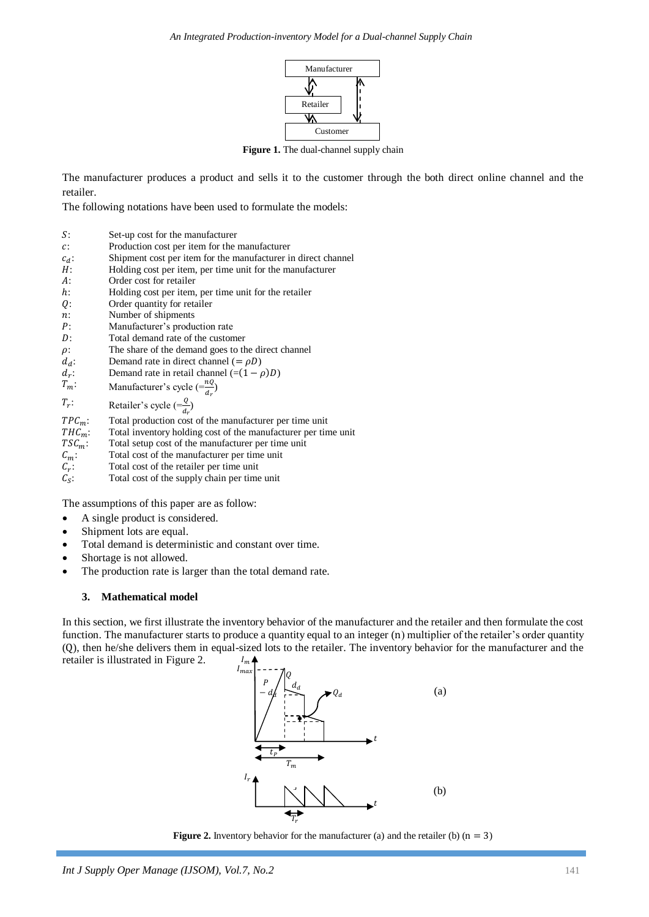

**Figure 1.** The dual-channel supply chain

The manufacturer produces a product and sells it to the customer through the both direct online channel and the retailer.

The following notations have been used to formulate the models:

- : Set-up cost for the manufacturer
- : Production cost per item for the manufacturer
- $c_d$ : Shipment cost per item for the manufacturer in direct channel
- : Holding cost per item, per time unit for the manufacturer
- : Order cost for retailer
- : Holding cost per item, per time unit for the retailer
- : Order quantity for retailer
- : Number of shipments
- : Manufacturer's production rate
- : Total demand rate of the customer
- $\rho$ : The share of the demand goes to the direct channel
- $d_d$ : Demand rate in direct channel (=  $\rho D$ )
- $d_r$ : Demand rate in retail channel  $(=(1 - \rho)D)$
- $T_m$ : Manufacturer's cycle  $\left( = \frac{nQ}{d_r} \right)$
- $T_r$ :  $\therefore$  Retailer's cycle  $\left( = \frac{Q}{d_r} \right)$
- $TPC_m$ : Total production cost of the manufacturer per time unit  $THC_m$ : Total inventory holding cost of the manufacturer per tin
- 
- $THC_m$ : Total inventory holding cost of the manufacturer per time unit  $TSC_m$ : Total setup cost of the manufacturer per time unit : Total setup cost of the manufacturer per time unit
- $C_m$ : Total cost of the manufacturer per time unit
- $C_r$ : : Total cost of the retailer per time unit
- $C_{\rm S}$ : : Total cost of the supply chain per time unit

The assumptions of this paper are as follow:

- A single product is considered.
- Shipment lots are equal.
- Total demand is deterministic and constant over time.
- Shortage is not allowed.
- The production rate is larger than the total demand rate.

## **3. Mathematical model**

In this section, we first illustrate the inventory behavior of the manufacturer and the retailer and then formulate the cost function. The manufacturer starts to produce a quantity equal to an integer (n) multiplier of the retailer's order quantity (0), then he/she delivers them in equal-sized lots to the retailer. The inventory behavior for the manufacturer and the retailer is illustrated in Figure 2. I



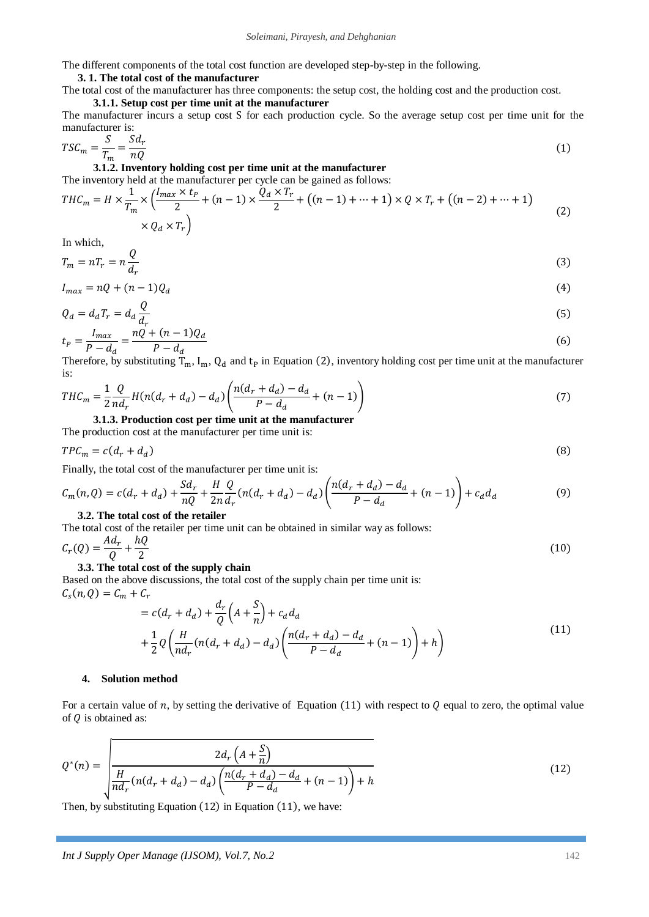The different components of the total cost function are developed step-by-step in the following.

## **3. 1. The total cost of the manufacturer**

The total cost of the manufacturer has three components: the setup cost, the holding cost and the production cost.

## **3.1.1. Setup cost per time unit at the manufacturer**

The manufacturer incurs a setup cost S for each production cycle. So the average setup cost per time unit for the manufacturer is:

$$
TSC_m = \frac{S}{T_m} = \frac{Sd_r}{nQ}
$$
\n<sup>(1)</sup>

**3.1.2. Inventory holding cost per time unit at the manufacturer** The inventory held at the manufacturer per cycle can be gained as follows:

$$
THC_m = H \times \frac{1}{T_m} \times \left(\frac{l_{max} \times t_p}{2} + (n-1) \times \frac{Q_d \times T_r}{2} + \left((n-1) + \dots + 1\right) \times Q \times T_r + \left((n-2) + \dots + 1\right) \times Q_d \times T_r\right)
$$
\n
$$
\times Q_d \times T_r
$$
\n(2)

In which,

$$
T_m = nT_r = n\frac{Q}{d_r} \tag{3}
$$

$$
I_{max} = nQ + (n-1)Q_d \tag{4}
$$

$$
Q_d = d_d T_r = d_d \frac{Q}{d_r} \tag{5}
$$

$$
t_P = \frac{I_{max}}{P - d_d} = \frac{nQ + (n - 1)Q_d}{P - d_d} \tag{6}
$$

Therefore, by substituting  $T_m$ ,  $I_m$ ,  $Q_d$  and  $t_p$  in Equation (2), inventory holding cost per time unit at the manufacturer is:

$$
THC_m = \frac{1}{2} \frac{Q}{nd_r} H(n(d_r + d_d) - d_d) \left( \frac{n(d_r + d_d) - d_d}{P - d_d} + (n - 1) \right)
$$
(7)

**3.1.3. Production cost per time unit at the manufacturer**

The production cost at the manufacturer per time unit is:

$$
TPC_m = c(d_r + d_d)
$$

Finally, the total cost of the manufacturer per time unit is:

$$
C_m(n, Q) = c(d_r + d_d) + \frac{Sd_r}{nQ} + \frac{H}{2n} \frac{Q}{d_r} (n(d_r + d_d) - d_d) \left( \frac{n(d_r + d_d) - d_d}{P - d_d} + (n - 1) \right) + c_d d_d \tag{9}
$$

#### **3.2. The total cost of the retailer**

The total cost of the retailer per time unit can be obtained in similar way as follows:  $Ad_r$  $hQ$ 

$$
C_r(Q) = \frac{ne_r}{Q} + \frac{ne_s}{2}
$$

## **3.3. The total cost of the supply chain**

Based on the above discussions, the total cost of the supply chain per time unit is:  $\mathcal{C}_{\mathrm{s}}(% \mathcal{C}_{\mathrm{d}}^{\ast}\mathcal{C})$  $\ddot{\phantom{a}}$  $\sim$ 

$$
= c(d_r + d_d) + \frac{d_r}{Q} \left( A + \frac{S}{n} \right) + c_d d_d
$$
  
+ 
$$
\frac{1}{2} Q \left( \frac{H}{n d_r} (n(d_r + d_d) - d_d) \left( \frac{n(d_r + d_d) - d_d}{P - d_d} + (n - 1) \right) + h \right)
$$
 (11)

## **4. Solution method**

For a certain value of n, by setting the derivative of Equation (11) with respect to  $\theta$  equal to zero, the optimal value of  $Q$  is obtained as:

$$
Q^*(n) = \sqrt{\frac{2d_r\left(A + \frac{S}{n}\right)}{n d_r\left(n(d_r + d_d) - d_d\right)\left(\frac{n(d_r + d_d) - d_d}{P - d_d} + (n - 1)\right) + h}}
$$
(12)

Then, by substituting Equation  $(12)$  in Equation  $(11)$ , we have:

 $(10)$ 

 $(8)$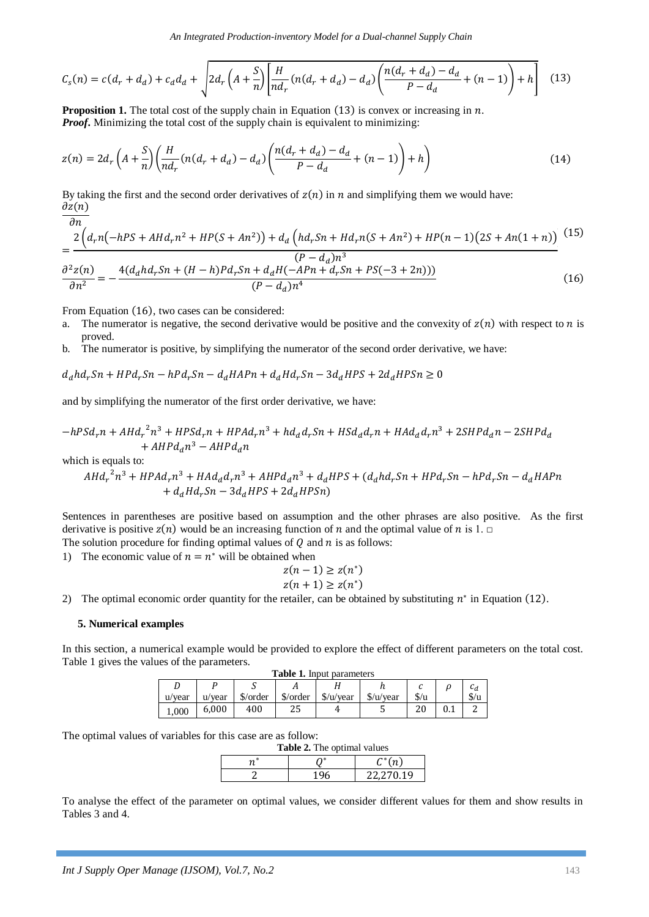$$
C_{s}(n) = c(d_{r} + d_{d}) + c_{d}d_{d} + \sqrt{2d_{r}\left(A + \frac{S}{n}\right)\left[\frac{H}{nd_{r}}(n(d_{r} + d_{d}) - d_{d})\left(\frac{n(d_{r} + d_{d}) - d_{d}}{P - d_{d}} + (n - 1)\right) + h\right]}
$$
(13)

**Proposition 1.** The total cost of the supply chain in Equation  $(13)$  is convex or increasing in  $n$ . *Proof***.** Minimizing the total cost of the supply chain is equivalent to minimizing:

$$
z(n) = 2d_r \left( A + \frac{S}{n} \right) \left( \frac{H}{n d_r} (n(d_r + d_d) - d_d) \left( \frac{n(d_r + d_d) - d_d}{P - d_d} + (n - 1) \right) + h \right)
$$
(14)

By taking the first and the second order derivatives of  $z(n)$  in n and simplifying them we would have:  $\partial z(n)$  $\overline{\partial n}$ 

$$
= \frac{2\left(d_r n\left(-hPS + A H d_r n^2 + H P(S + An^2)\right) + d_a \left(h d_r S n + H d_r n (S + An^2) + H P(n-1) (2S + An(1+n))\right)}{(P - d_a)n^3}\frac{\partial^2 z(n)}{\partial n^2} = -\frac{4(d_a h d_r S n + (H - h) P d_r S n + d_a H(-A P n + d_r S n + P S(-3 + 2 n)))}{(P - d_a)n^4}
$$
(16)

From Equation (16), two cases can be considered:

- a. The numerator is negative, the second derivative would be positive and the convexity of  $z(n)$  with respect to n is proved.
- b. The numerator is positive, by simplifying the numerator of the second order derivative, we have:

$$
d_d h d_r Sn + H P d_r Sn - h P d_r Sn - d_d H A P n + d_d H d_r Sn - 3 d_d H P S + 2 d_d H P S n \ge 0
$$

and by simplifying the numerator of the first order derivative, we have:

$$
-hPSd_r n + A H d_r^2 n^3 + HPSd_r n + H P A d_r n^3 + h d_d d_r S n + H S d_d d_r n + H A d_d d_r n^3 + 2SH P d_d n - 2SH P d_d n^3 + A H P d_d n^3 - A H P d_d n
$$

which is equals to:

$$
A H d_r^2 n^3 + H P A d_r n^3 + H A d_d d_r n^3 + A H P d_d n^3 + d_d H P S + (d_d h d_r S n + H P d_r S n - h P d_r S n - d_d H A P n
$$
  
+ 
$$
d_d H d_r S n - 3 d_d H P S + 2 d_d H P S n)
$$

Sentences in parentheses are positive based on assumption and the other phrases are also positive. As the first derivative is positive  $z(n)$  would be an increasing function of n and the optimal value of n is 1.  $\Box$ The solution procedure for finding optimal values of  $Q$  and  $n$  is as follows:

1) The economic value of  $n = n^*$  will be obtained when

$$
z(n-1) \ge z(n^*)
$$
  

$$
z(n+1) \ge z(n^*)
$$

2) The optimal economic order quantity for the retailer, can be obtained by substituting  $n^*$  in Equation (12).

### **5. Numerical examples**

In this section, a numerical example would be provided to explore the effect of different parameters on the total cost. Table 1 gives the values of the parameters.

| <b>Table 1.</b> Input parameters |        |          |          |                      |                      |               |  |               |
|----------------------------------|--------|----------|----------|----------------------|----------------------|---------------|--|---------------|
|                                  |        |          |          |                      |                      |               |  | U₫.           |
| u/vear                           | u/vear | \$/order | \$/order | $\frac{\sqrt{2}}{2}$ | $\frac{\sqrt{2}}{2}$ | $\frac{f}{u}$ |  | $\frac{f}{u}$ |
| .000                             | 6,000  | 400      | つに<br>۵J | 4                    | ш                    | ີ<br>۷U       |  |               |

The optimal values of variables for this case are as follow:

| <b>Table 2.</b> The optimal values |     |                    |  |  |  |
|------------------------------------|-----|--------------------|--|--|--|
| $\boldsymbol{n}^*$                 |     | $\mathcal{C}^*(n)$ |  |  |  |
|                                    | 196 | 22.270.19          |  |  |  |

To analyse the effect of the parameter on optimal values, we consider different values for them and show results in Tables 3 and 4.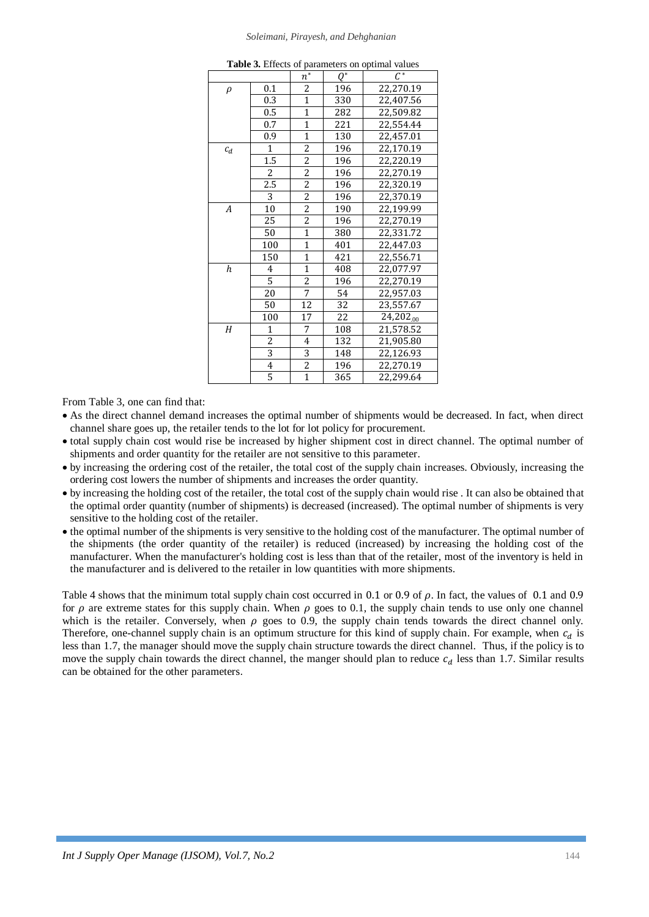#### *Soleimani, Pirayesh, and Dehghanian*

| P <sub>u</sub><br>, он ор <b>инш</b> |                  |                    |                 |                 |
|--------------------------------------|------------------|--------------------|-----------------|-----------------|
|                                      |                  | $\boldsymbol{n}^*$ | $Q^*$           | $\mathcal{C}^*$ |
| $\rho$                               | 0.1              | $\overline{c}$     | 196             | 22,270.19       |
|                                      | 0.3              | $\mathbf{1}$       | 330             | 22,407.56       |
|                                      | 0.5              | $\mathbf{1}$       | 282             | 22,509.82       |
|                                      | 0.7              | $\overline{1}$     | 221             | 22,554.44       |
|                                      | 0.9              | $\overline{1}$     | 130             | 22,457.01       |
| $c_d$                                | $\mathbf{1}$     | $\overline{2}$     | 196             | 22,170.19       |
|                                      | $\overline{1.5}$ | $\overline{2}$     | 196             | 22,220.19       |
|                                      | $\overline{c}$   | $\frac{2}{2}$      | 196             | 22,270.19       |
|                                      | 2.5              |                    | 196             | 22,320.19       |
|                                      | 3                | $\overline{2}$     | 196             | 22,370.19       |
| $\boldsymbol{A}$                     | 10               | $\overline{2}$     | 190             | 22,199.99       |
|                                      | 25               | $\overline{2}$     | 196             | 22,270.19       |
|                                      | 50               | $\overline{1}$     | 380             | 22,331.72       |
|                                      | 100              | $\mathbf{1}$       | 401             | 22,447.03       |
|                                      | 150              | $\overline{1}$     | 421             | 22,556.71       |
| $\boldsymbol{h}$                     | 4                | $\overline{1}$     | 408             | 22,077.97       |
|                                      | 5                | $\overline{2}$     | 196             | 22,270.19       |
|                                      | 20               | $\overline{7}$     | 54              | 22,957.03       |
|                                      | 50               | $\overline{12}$    | $\overline{32}$ | 23,557.67       |
|                                      | 100              | 17                 | 22              | 24,202.00       |
| $\boldsymbol{H}$                     | $\mathbf{1}$     | 7                  | 108             | 21,578.52       |
|                                      | $\overline{2}$   | $\overline{4}$     | 132             | 21,905.80       |
|                                      | $\overline{3}$   | $\overline{3}$     | 148             | 22,126.93       |
|                                      | $\overline{4}$   | $\frac{2}{1}$      | 196             | 22,270.19       |
|                                      | 5                |                    | 365             | 22,299.64       |

**Table 3.** Effects of parameters on optimal values

From Table 3, one can find that:

- As the direct channel demand increases the optimal number of shipments would be decreased. In fact, when direct channel share goes up, the retailer tends to the lot for lot policy for procurement.
- total supply chain cost would rise be increased by higher shipment cost in direct channel. The optimal number of shipments and order quantity for the retailer are not sensitive to this parameter.
- by increasing the ordering cost of the retailer, the total cost of the supply chain increases. Obviously, increasing the ordering cost lowers the number of shipments and increases the order quantity.
- by increasing the holding cost of the retailer, the total cost of the supply chain would rise . It can also be obtained that the optimal order quantity (number of shipments) is decreased (increased). The optimal number of shipments is very sensitive to the holding cost of the retailer.
- the optimal number of the shipments is very sensitive to the holding cost of the manufacturer. The optimal number of the shipments (the order quantity of the retailer) is reduced (increased) by increasing the holding cost of the manufacturer. When the manufacturer's holding cost is less than that of the retailer, most of the inventory is held in the manufacturer and is delivered to the retailer in low quantities with more shipments.

Table 4 shows that the minimum total supply chain cost occurred in 0.1 or 0.9 of  $\rho$ . In fact, the values of 0.1 and 0.9 for  $\rho$  are extreme states for this supply chain. When  $\rho$  goes to 0.1, the supply chain tends to use only one channel which is the retailer. Conversely, when  $\rho$  goes to 0.9, the supply chain tends towards the direct channel only. Therefore, one-channel supply chain is an optimum structure for this kind of supply chain. For example, when  $c_d$  is less than 1.7, the manager should move the supply chain structure towards the direct channel. Thus, if the policy is to move the supply chain towards the direct channel, the manger should plan to reduce  $c_d$  less than 1.7. Similar results can be obtained for the other parameters.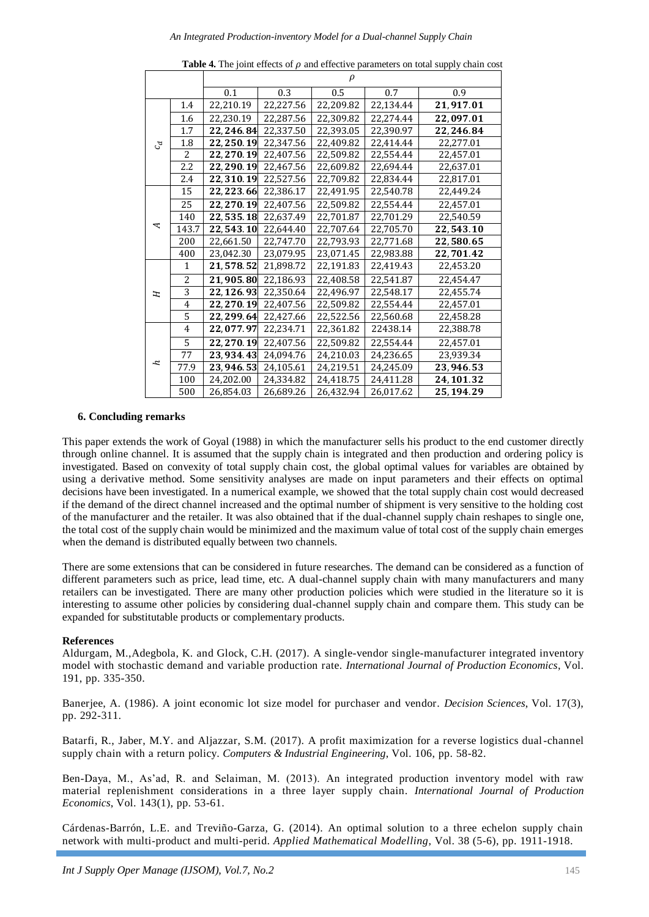|                             |                | $\rho$                  |           |           |           |             |  |
|-----------------------------|----------------|-------------------------|-----------|-----------|-----------|-------------|--|
|                             |                | 0.1                     | 0.3       | 0.5       | 0.7       | 0.9         |  |
| $\mathcal{L}_{\mathcal{G}}$ | 1.4            | 22,210.19               | 22,227.56 | 22,209.82 | 22,134.44 | 21,917.01   |  |
|                             | 1.6            | 22,230.19               | 22,287.56 | 22,309.82 | 22.274.44 | 22,097.01   |  |
|                             | 1.7            | 22,246.84               | 22,337.50 | 22,393.05 | 22,390.97 | 22,246.84   |  |
|                             | 1.8            | 22,250.19               | 22,347.56 | 22,409.82 | 22,414.44 | 22,277.01   |  |
|                             | $\overline{2}$ | 22,270.19               | 22,407.56 | 22,509.82 | 22,554.44 | 22,457.01   |  |
|                             | 2.2            | 22,290.19               | 22,467.56 | 22.609.82 | 22,694.44 | 22,637.01   |  |
|                             | 2.4            | 22,310.19               | 22,527.56 | 22,709.82 | 22,834.44 | 22,817.01   |  |
| A                           | 15             | 22, 223.66              | 22,386.17 | 22,491.95 | 22,540.78 | 22,449.24   |  |
|                             | 25             | 22,270.19               | 22.407.56 | 22.509.82 | 22.554.44 | 22.457.01   |  |
|                             | 140            | 22,535.18               | 22,637.49 | 22,701.87 | 22,701.29 | 22,540.59   |  |
|                             | 143.7          | 22,543.10               | 22,644.40 | 22.707.64 | 22.705.70 | 22,543.10   |  |
|                             | 200            | 22,661.50               | 22,747.70 | 22,793.93 | 22,771.68 | 22,580.65   |  |
|                             | 400            | 23,042.30               | 23,079.95 | 23,071.45 | 22,983.88 | 22,701.42   |  |
|                             | 1              | 21,578.52               | 21,898.72 | 22,191.83 | 22,419.43 | 22,453.20   |  |
| H                           | $\overline{c}$ | 21,905.80               | 22,186.93 | 22.408.58 | 22,541.87 | 22.454.47   |  |
|                             | $\overline{3}$ | 22, 126.93              | 22,350.64 | 22.496.97 | 22.548.17 | 22.455.74   |  |
|                             | 4              | 22, 270.19              | 22,407.56 | 22,509.82 | 22,554.44 | 22,457.01   |  |
|                             | 5              | 22, 299. 64 22, 427. 66 |           | 22,522.56 | 22,560.68 | 22,458.28   |  |
| r                           | 4              | 22,077.97               | 22,234.71 | 22,361.82 | 22438.14  | 22,388.78   |  |
|                             | 5              | 22.270.19               | 22.407.56 | 22.509.82 | 22.554.44 | 22,457.01   |  |
|                             | 77             | 23,934.43               | 24,094.76 | 24,210.03 | 24,236.65 | 23,939.34   |  |
|                             | 77.9           | 23,946.53               | 24,105.61 | 24,219.51 | 24,245.09 | 23,946.53   |  |
|                             | 100            | 24,202.00               | 24,334.82 | 24,418.75 | 24,411.28 | 24, 101.32  |  |
|                             | 500            | 26,854.03               | 26,689.26 | 26,432.94 | 26,017.62 | 25, 194. 29 |  |

**Table 4.** The joint effects of  $\rho$  and effective parameters on total supply chain cost

## **6. Concluding remarks**

This paper extends the work of Goyal (1988) in which the manufacturer sells his product to the end customer directly through online channel. It is assumed that the supply chain is integrated and then production and ordering policy is investigated. Based on convexity of total supply chain cost, the global optimal values for variables are obtained by using a derivative method. Some sensitivity analyses are made on input parameters and their effects on optimal decisions have been investigated. In a numerical example, we showed that the total supply chain cost would decreased if the demand of the direct channel increased and the optimal number of shipment is very sensitive to the holding cost of the manufacturer and the retailer. It was also obtained that if the dual-channel supply chain reshapes to single one, the total cost of the supply chain would be minimized and the maximum value of total cost of the supply chain emerges when the demand is distributed equally between two channels.

There are some extensions that can be considered in future researches. The demand can be considered as a function of different parameters such as price, lead time, etc. A dual-channel supply chain with many manufacturers and many retailers can be investigated. There are many other production policies which were studied in the literature so it is interesting to assume other policies by considering dual-channel supply chain and compare them. This study can be expanded for substitutable products or complementary products.

#### **References**

Aldurgam, M.,Adegbola, K. and Glock, C.H. (2017). A single-vendor single-manufacturer integrated inventory model with stochastic demand and variable production rate. *International Journal of Production Economics*, Vol. 191, pp. 335-350.

Banerjee, A. (1986). A joint economic lot size model for purchaser and vendor. *Decision Sciences*, Vol. 17(3), pp. 292-311.

Batarfi, R., Jaber, M.Y. and Aljazzar, S.M. (2017). A profit maximization for a reverse logistics dual-channel supply chain with a return policy. *Computers & Industrial Engineering*, Vol. 106, pp. 58-82.

Ben-Daya, M., As'ad, R. and Selaiman, M. (2013). An integrated production inventory model with raw material replenishment considerations in a three layer supply chain. *International Journal of Production Economics*, Vol. 143(1), pp. 53-61.

Cárdenas-Barrón, L.E. and Treviño-Garza, G. (2014). An optimal solution to a three echelon supply chain network with multi-product and multi-perid. *Applied Mathematical Modelling*, Vol. 38 (5-6), pp. 1911-1918.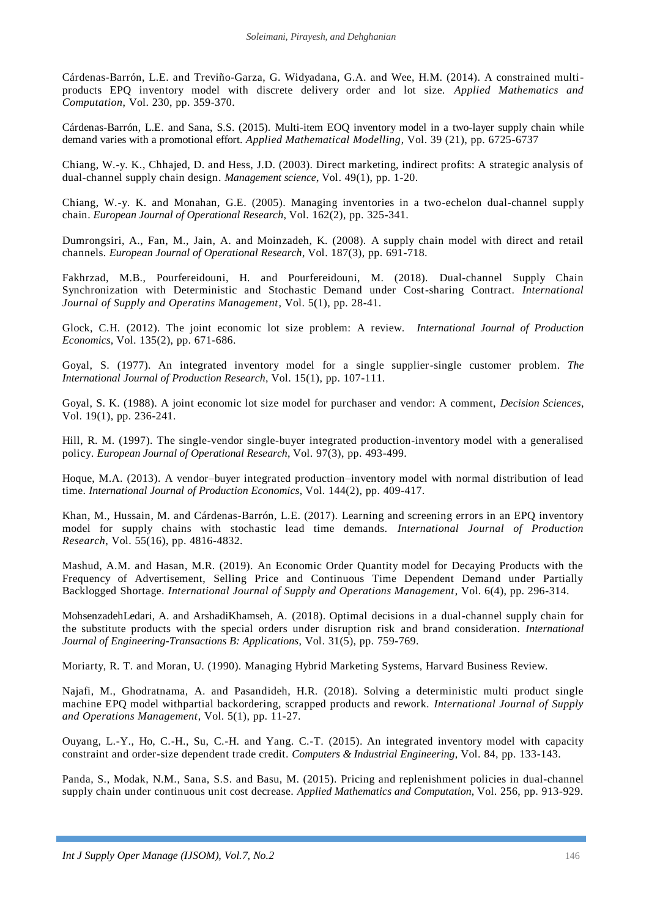Cárdenas-Barrón, L.E. and Treviño-Garza, G. Widyadana, G.A. and Wee, H.M. (2014). A constrained multiproducts EPQ inventory model with discrete delivery order and lot size. *Applied Mathematics and Computation*, Vol. 230, pp. 359-370.

Cárdenas-Barrón, L.E. and Sana, S.S. (2015). Multi-item EOQ inventory model in a two-layer supply chain while demand varies with a promotional effort. *Applied Mathematical Modelling*, Vol. 39 (21), pp. 6725-6737

Chiang, W.-y. K., Chhajed, D. and Hess, J.D. (2003). Direct marketing, indirect profits: A strategic analysis of dual-channel supply chain design. *Management science*, Vol. 49(1), pp. 1-20.

Chiang, W.-y. K. and Monahan, G.E. (2005). Managing inventories in a two-echelon dual-channel supply chain. *European Journal of Operational Research*, Vol. 162(2), pp. 325-341.

Dumrongsiri, A., Fan, M., Jain, A. and Moinzadeh, K. (2008). A supply chain model with direct and retail channels. *European Journal of Operational Research*, Vol. 187(3), pp. 691-718.

Fakhrzad, M.B., Pourfereidouni, H. and Pourfereidouni, M. (2018). Dual-channel Supply Chain Synchronization with Deterministic and Stochastic Demand under Cost-sharing Contract. *International Journal of Supply and Operatins Management*, Vol. 5(1), pp. 28-41.

Glock, C.H. (2012). The joint economic lot size problem: A review. *International Journal of Production Economics*, Vol. 135(2), pp. 671-686.

Goyal, S. (1977). An integrated inventory model for a single supplier-single customer problem. *The International Journal of Production Research*, Vol. 15(1), pp. 107-111.

Goyal, S. K. (1988). A joint economic lot size model for purchaser and vendor: A comment, *Decision Sciences*, Vol. 19(1), pp. 236-241.

Hill, R. M. (1997). The single-vendor single-buyer integrated production-inventory model with a generalised policy. *European Journal of Operational Research*, Vol. 97(3), pp. 493-499.

Hoque, M.A. (2013). A vendor–buyer integrated production–inventory model with normal distribution of lead time. *International Journal of Production Economics*, Vol. 144(2), pp. 409-417.

Khan, M., Hussain, M. and Cárdenas-Barrón, L.E. (2017). Learning and screening errors in an EPQ inventory model for supply chains with stochastic lead time demands. *International Journal of Production Research*, Vol. 55(16), pp. 4816-4832.

Mashud, A.M. and Hasan, M.R. (2019). An Economic Order Quantity model for Decaying Products with the Frequency of Advertisement, Selling Price and Continuous Time Dependent Demand under Partially Backlogged Shortage. *International Journal of Supply and Operations Management*, Vol. 6(4), pp. 296-314.

MohsenzadehLedari, A. and ArshadiKhamseh, A. (2018). Optimal decisions in a dual-channel supply chain for the substitute products with the special orders under disruption risk and brand consideration. *International Journal of Engineering-Transactions B: Applications*, Vol. 31(5), pp. 759-769.

Moriarty, R. T. and Moran, U. (1990). Managing Hybrid Marketing Systems, Harvard Business Review.

Najafi, M., Ghodratnama, A. and Pasandideh, H.R. (2018). Solving a deterministic multi product single machine EPQ model withpartial backordering, scrapped products and rework. *International Journal of Supply and Operations Management*, Vol. 5(1), pp. 11-27.

Ouyang, L.-Y., Ho, C.-H., Su, C.-H. and Yang. C.-T. (2015). An integrated inventory model with capacity constraint and order-size dependent trade credit. *Computers & Industrial Engineering*, Vol. 84, pp. 133-143.

Panda, S., Modak, N.M., Sana, S.S. and Basu, M. (2015). Pricing and replenishment policies in dual-channel supply chain under continuous unit cost decrease. *Applied Mathematics and Computation*, Vol. 256, pp. 913-929.